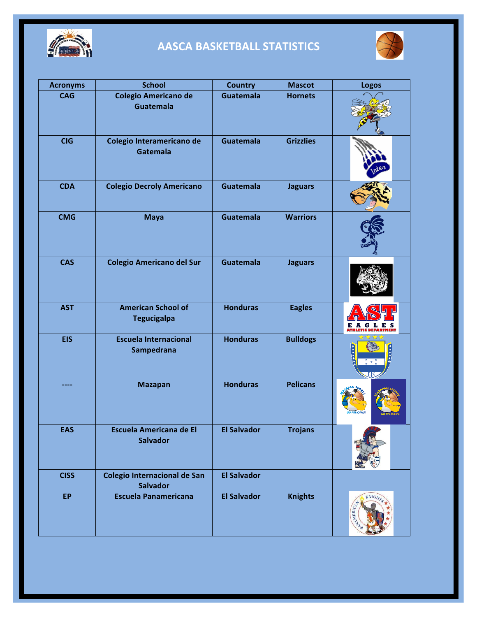

# **AASCA BASKETBALL STATISTICS**



| <b>Acronyms</b> | <b>School</b>                                     | <b>Country</b>     | <b>Mascot</b>    | <b>Logos</b>             |
|-----------------|---------------------------------------------------|--------------------|------------------|--------------------------|
| <b>CAG</b>      | <b>Colegio Americano de</b><br><b>Guatemala</b>   | <b>Guatemala</b>   | <b>Hornets</b>   |                          |
| <b>CIG</b>      | Colegio Interamericano de<br>Gatemala             | <b>Guatemala</b>   | <b>Grizzlies</b> |                          |
| <b>CDA</b>      | <b>Colegio Decroly Americano</b>                  | <b>Guatemala</b>   | <b>Jaguars</b>   |                          |
| <b>CMG</b>      | <b>Maya</b>                                       | <b>Guatemala</b>   | <b>Warriors</b>  |                          |
| <b>CAS</b>      | <b>Colegio Americano del Sur</b>                  | <b>Guatemala</b>   | <b>Jaguars</b>   |                          |
| <b>AST</b>      | <b>American School of</b><br><b>Tegucigalpa</b>   | <b>Honduras</b>    | <b>Eagles</b>    | G<br>L E S               |
| <b>EIS</b>      | <b>Escuela Internacional</b><br>Sampedrana        | <b>Honduras</b>    | <b>Bulldogs</b>  |                          |
|                 | <b>Mazapan</b>                                    | <b>Honduras</b>    | <b>Pelicans</b>  |                          |
| <b>EAS</b>      | <b>Escuela Americana de El</b><br><b>Salvador</b> | <b>El Salvador</b> | <b>Trojans</b>   |                          |
| <b>CISS</b>     | Colegio Internacional de San<br><b>Salvador</b>   | <b>El Salvador</b> |                  |                          |
| <b>EP</b>       | <b>Escuela Panamericana</b>                       | <b>El Salvador</b> | <b>Knights</b>   | <b>KNIGHTS</b><br>MERICA |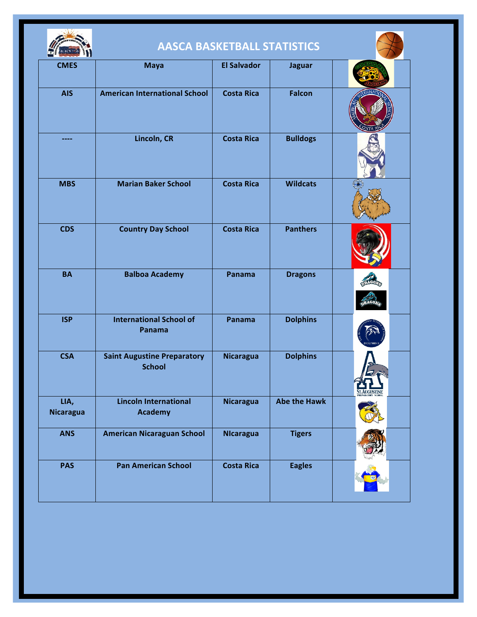

# **AASCA BASKETBALL STATISTICS**

|                          |                                                     | <b>AASCA BASKETBALL STATISTICS</b> |                     |               |
|--------------------------|-----------------------------------------------------|------------------------------------|---------------------|---------------|
| <b>CMES</b>              | <b>Maya</b>                                         | <b>El Salvador</b>                 | <b>Jaguar</b>       |               |
| <b>AIS</b>               | <b>American International School</b>                | <b>Costa Rica</b>                  | <b>Falcon</b>       |               |
|                          | Lincoln, CR                                         | <b>Costa Rica</b>                  | <b>Bulldogs</b>     |               |
| <b>MBS</b>               | <b>Marian Baker School</b>                          | <b>Costa Rica</b>                  | <b>Wildcats</b>     |               |
| <b>CDS</b>               | <b>Country Day School</b>                           | <b>Costa Rica</b>                  | <b>Panthers</b>     |               |
| <b>BA</b>                | <b>Balboa Academy</b>                               | Panama                             | <b>Dragons</b>      |               |
| <b>ISP</b>               | <b>International School of</b><br>Panama            | Panama                             | <b>Dolphins</b>     |               |
| <b>CSA</b>               | <b>Saint Augustine Preparatory</b><br><b>School</b> | <b>Nicaragua</b>                   | <b>Dolphins</b>     | ST. AUGUSTINE |
| LIA,<br><b>Nicaragua</b> | <b>Lincoln International</b><br><b>Academy</b>      | <b>Nicaragua</b>                   | <b>Abe the Hawk</b> |               |
| <b>ANS</b>               | <b>American Nicaraguan School</b>                   | <b>NIcaragua</b>                   | <b>Tigers</b>       |               |
| <b>PAS</b>               | <b>Pan American School</b>                          | <b>Costa Rica</b>                  | <b>Eagles</b>       |               |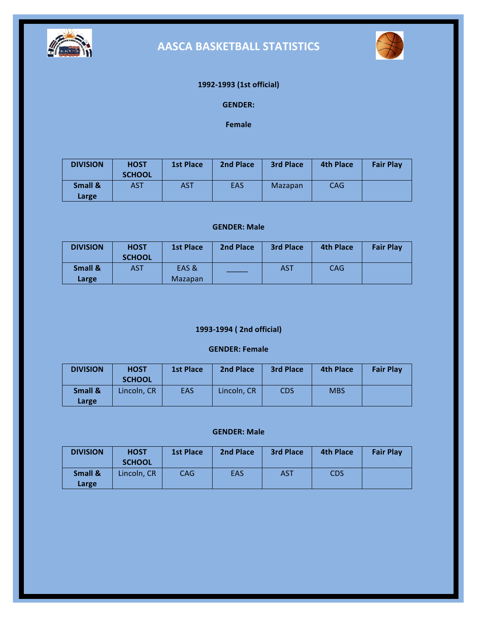

# **AASCA BASKETBALL STATISTICS**



### **1992-1993 (1st official)**

### **GENDER:**

**Female**

| <b>DIVISION</b>  | <b>HOST</b><br><b>SCHOOL</b> | <b>1st Place</b> | 2nd Place  | <b>3rd Place</b> | <b>4th Place</b> | <b>Fair Play</b> |
|------------------|------------------------------|------------------|------------|------------------|------------------|------------------|
| Small &<br>Large | AST                          | <b>AST</b>       | <b>EAS</b> | Mazapan          | <b>CAG</b>       |                  |

#### **GENDER: Male**

| <b>DIVISION</b> | <b>HOST</b><br><b>SCHOOL</b> | <b>1st Place</b> | 2nd Place | <b>3rd Place</b> | <b>4th Place</b> | <b>Fair Play</b> |
|-----------------|------------------------------|------------------|-----------|------------------|------------------|------------------|
| Small &         | AST                          | EAS &            |           | AST              | <b>CAG</b>       |                  |
| Large           |                              | Mazapan          |           |                  |                  |                  |

### **1993-1994 ( 2nd official)**

### **GENDER: Female**

| <b>DIVISION</b>  | <b>HOST</b><br><b>SCHOOL</b> | <b>1st Place</b> | <b>2nd Place</b> | <b>3rd Place</b> | <b>4th Place</b> | <b>Fair Play</b> |
|------------------|------------------------------|------------------|------------------|------------------|------------------|------------------|
| Small &<br>Large | Lincoln, CR                  | <b>EAS</b>       | Lincoln, CR      | <b>CDS</b>       | <b>MBS</b>       |                  |

| <b>DIVISION</b>  | <b>HOST</b><br><b>SCHOOL</b> | <b>1st Place</b> | 2nd Place  | <b>3rd Place</b> | <b>4th Place</b> | <b>Fair Play</b> |
|------------------|------------------------------|------------------|------------|------------------|------------------|------------------|
| Small &<br>Large | Lincoln, CR                  | <b>CAG</b>       | <b>EAS</b> | AST              | <b>CDS</b>       |                  |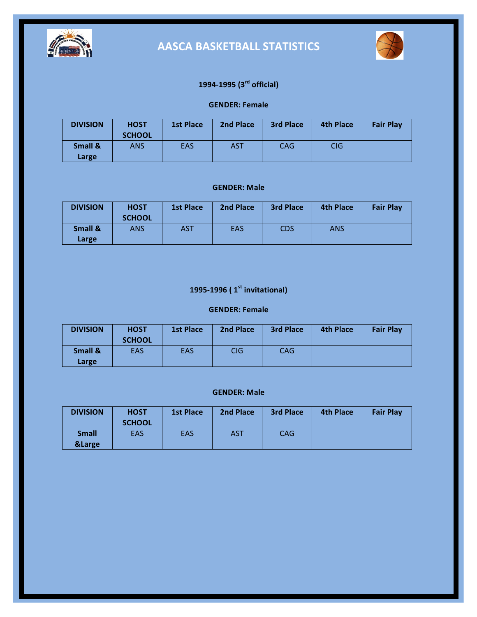



## **1994-1995 (3rd official)**

### **GENDER: Female**

| <b>DIVISION</b>  | <b>HOST</b><br><b>SCHOOL</b> | <b>1st Place</b> | 2nd Place  | <b>3rd Place</b> | <b>4th Place</b> | <b>Fair Play</b> |
|------------------|------------------------------|------------------|------------|------------------|------------------|------------------|
| Small &<br>Large | ANS                          | <b>EAS</b>       | <b>AST</b> | <b>CAG</b>       | <b>CIG</b>       |                  |

#### **GENDER: Male**

| <b>DIVISION</b>  | <b>HOST</b><br><b>SCHOOL</b> | <b>1st Place</b> | 2nd Place | <b>3rd Place</b> | <b>4th Place</b> | <b>Fair Play</b> |
|------------------|------------------------------|------------------|-----------|------------------|------------------|------------------|
| Small &<br>Large | ANS                          | <b>AST</b>       | EAS       | <b>CDS</b>       | <b>ANS</b>       |                  |

## **1995-1996 ( 1st invitational)**

#### **GENDER: Female**

| <b>DIVISION</b>  | <b>HOST</b><br><b>SCHOOL</b> | <b>1st Place</b> | 2nd Place  | <b>3rd Place</b> | <b>4th Place</b> | <b>Fair Play</b> |
|------------------|------------------------------|------------------|------------|------------------|------------------|------------------|
| Small &<br>Large | EAS                          | <b>EAS</b>       | <b>CIG</b> | CAG              |                  |                  |

| <b>DIVISION</b>                   | <b>HOST</b><br><b>SCHOOL</b> | <b>1st Place</b> | 2nd Place  | <b>3rd Place</b> | <b>4th Place</b> | <b>Fair Play</b> |
|-----------------------------------|------------------------------|------------------|------------|------------------|------------------|------------------|
| <b>Small</b><br><b>&amp;Large</b> | EAS                          | <b>EAS</b>       | <b>AST</b> | <b>CAG</b>       |                  |                  |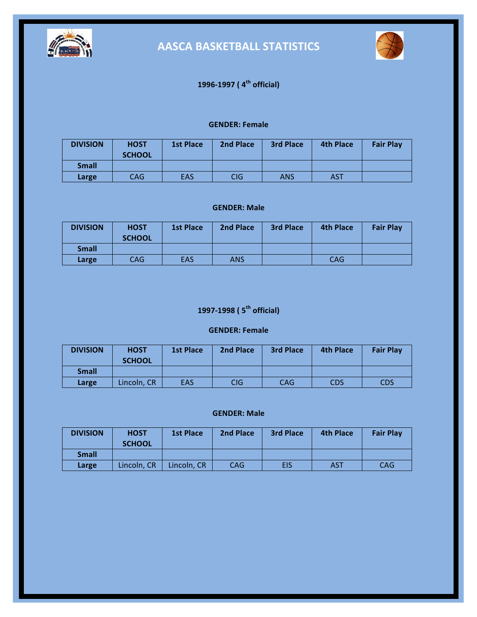



## **1996-1997 ( 4th official)**

#### **GENDER: Female**

| <b>DIVISION</b> | <b>HOST</b><br><b>SCHOOL</b> | <b>1st Place</b> | 2nd Place | <b>3rd Place</b> | <b>4th Place</b> | <b>Fair Play</b> |
|-----------------|------------------------------|------------------|-----------|------------------|------------------|------------------|
| <b>Small</b>    |                              |                  |           |                  |                  |                  |
| Large           | CAG.                         | <b>EAS</b>       | CIG       | ANS              | <b>AST</b>       |                  |

### **GENDER: Male**

| <b>DIVISION</b> | <b>HOST</b><br><b>SCHOOL</b> | <b>1st Place</b> | 2nd Place  | <b>3rd Place</b> | <b>4th Place</b> | <b>Fair Play</b> |
|-----------------|------------------------------|------------------|------------|------------------|------------------|------------------|
| <b>Small</b>    |                              |                  |            |                  |                  |                  |
| Large           | CAG.                         | <b>EAS</b>       | <b>ANS</b> |                  | <b>CAG</b>       |                  |

## **1997-1998 ( 5th official)**

### **GENDER: Female**

| <b>DIVISION</b> | <b>HOST</b><br><b>SCHOOL</b> | <b>1st Place</b> | 2nd Place | <b>3rd Place</b> | <b>4th Place</b> | <b>Fair Play</b> |
|-----------------|------------------------------|------------------|-----------|------------------|------------------|------------------|
| <b>Small</b>    |                              |                  |           |                  |                  |                  |
| Large           | Lincoln, CR                  | <b>EAS</b>       | CIG       | <b>CAG</b>       | CDS              | CDS              |

| <b>DIVISION</b> | <b>HOST</b><br><b>SCHOOL</b> | <b>1st Place</b> | <b>2nd Place</b> | <b>3rd Place</b> | <b>4th Place</b> | <b>Fair Play</b> |
|-----------------|------------------------------|------------------|------------------|------------------|------------------|------------------|
| <b>Small</b>    |                              |                  |                  |                  |                  |                  |
| Large           | Lincoln. CR                  | Lincoln. CR      | CAG              | <b>EIS</b>       | AST              | <b>CAG</b>       |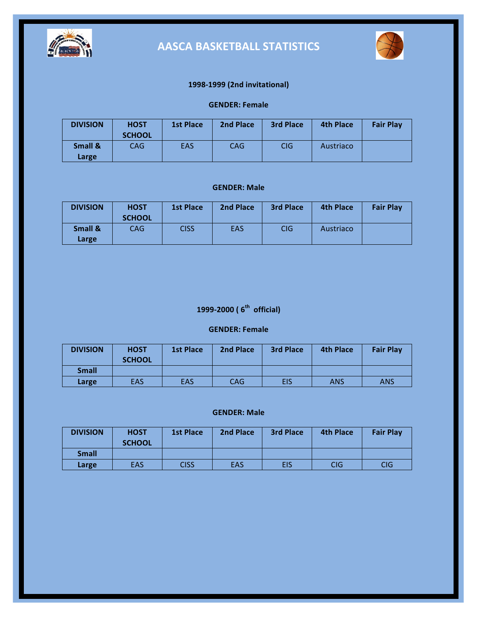



### **1998-1999 (2nd invitational)**

### **GENDER: Female**

| <b>DIVISION</b>  | <b>HOST</b><br><b>SCHOOL</b> | <b>1st Place</b> | 2nd Place  | <b>3rd Place</b> | <b>4th Place</b> | <b>Fair Play</b> |
|------------------|------------------------------|------------------|------------|------------------|------------------|------------------|
| Small &<br>Large | CAG.                         | EAS              | <b>CAG</b> | <b>CIG</b>       | Austriaco        |                  |

#### **GENDER: Male**

| <b>DIVISION</b>  | <b>HOST</b><br><b>SCHOOL</b> | <b>1st Place</b> | 2nd Place | <b>3rd Place</b> | <b>4th Place</b> | <b>Fair Play</b> |
|------------------|------------------------------|------------------|-----------|------------------|------------------|------------------|
| Small &<br>Large | CAG.                         | <b>CISS</b>      | EAS       | <b>CIG</b>       | Austriaco        |                  |

## **1999-2000** ( $6<sup>th</sup>$  official)

#### **GENDER: Female**

| <b>DIVISION</b> | <b>HOST</b><br><b>SCHOOL</b> | <b>1st Place</b> | 2nd Place  | <b>3rd Place</b> | <b>4th Place</b> | <b>Fair Play</b> |
|-----------------|------------------------------|------------------|------------|------------------|------------------|------------------|
| <b>Small</b>    |                              |                  |            |                  |                  |                  |
| Large           | EAS                          | <b>EAS</b>       | <b>CAG</b> | EIS              | ANS              | <b>ANS</b>       |

| <b>DIVISION</b> | <b>HOST</b><br><b>SCHOOL</b> | <b>1st Place</b> | <b>2nd Place</b> | <b>3rd Place</b> | <b>4th Place</b> | <b>Fair Play</b> |
|-----------------|------------------------------|------------------|------------------|------------------|------------------|------------------|
| <b>Small</b>    |                              |                  |                  |                  |                  |                  |
| Large           | EAS                          | CISS             | <b>EAS</b>       | EIS              | CIG              | CIG              |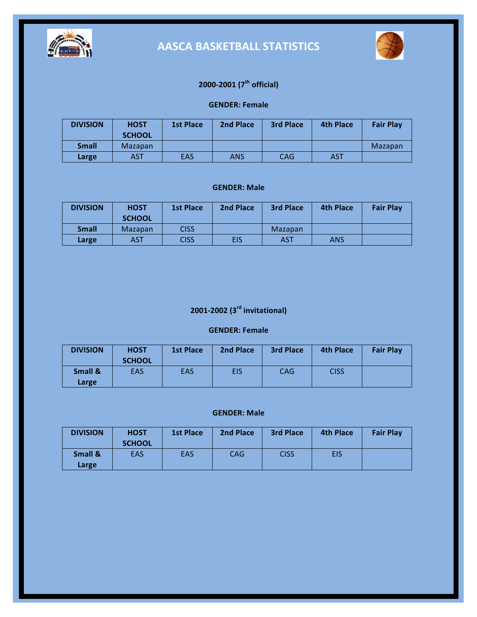



## **2000-2001 (7th official)**

### **GENDER: Female**

| <b>DIVISION</b> | <b>HOST</b><br><b>SCHOOL</b> | <b>1st Place</b> | <b>2nd Place</b> | <b>3rd Place</b> | <b>4th Place</b> | <b>Fair Play</b> |
|-----------------|------------------------------|------------------|------------------|------------------|------------------|------------------|
| <b>Small</b>    | <b>Mazapan</b>               |                  |                  |                  |                  | Mazapan          |
| Large           | AST                          | EAS              | <b>ANS</b>       | <b>CAG</b>       | <b>AST</b>       |                  |

#### **GENDER: Male**

| <b>DIVISION</b> | <b>HOST</b>   | <b>1st Place</b> | 2nd Place | <b>3rd Place</b> | <b>4th Place</b> | <b>Fair Play</b> |
|-----------------|---------------|------------------|-----------|------------------|------------------|------------------|
|                 | <b>SCHOOL</b> |                  |           |                  |                  |                  |
| <b>Small</b>    | Mazapan       | <b>CISS</b>      |           | Mazapan          |                  |                  |
| Large           | AST           | <b>CISS</b>      | EIS       | <b>AST</b>       | <b>ANS</b>       |                  |

# **2001-2002 (3rd invitational)**

### **GENDER: Female**

| <b>DIVISION</b> | <b>HOST</b><br><b>SCHOOL</b> | <b>1st Place</b> | <b>2nd Place</b> | <b>3rd Place</b> | <b>4th Place</b> | <b>Fair Play</b> |
|-----------------|------------------------------|------------------|------------------|------------------|------------------|------------------|
| Small &         | EAS                          | <b>EAS</b>       | EIS              | <b>CAG</b>       | <b>CISS</b>      |                  |
| Large           |                              |                  |                  |                  |                  |                  |

| <b>DIVISION</b>  | <b>HOST</b><br><b>SCHOOL</b> | <b>1st Place</b> | 2nd Place  | <b>3rd Place</b> | <b>4th Place</b> | <b>Fair Play</b> |
|------------------|------------------------------|------------------|------------|------------------|------------------|------------------|
| Small &<br>Large | EAS                          | <b>EAS</b>       | <b>CAG</b> | <b>CISS</b>      | <b>EIS</b>       |                  |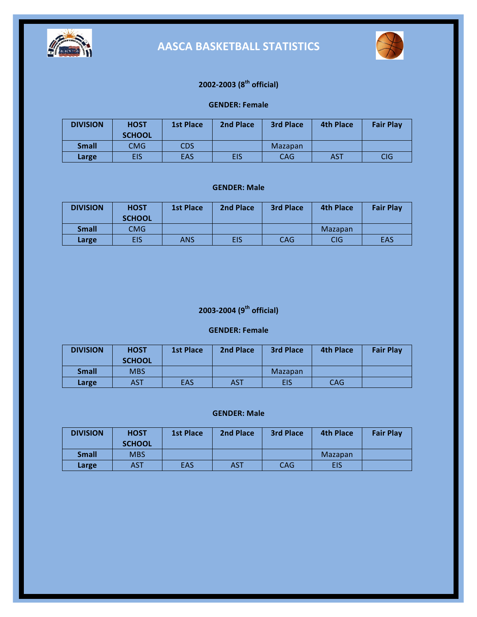



## **2002-2003 (8th official)**

#### **GENDER: Female**

| <b>DIVISION</b> | <b>HOST</b><br><b>SCHOOL</b> | <b>1st Place</b> | 2nd Place  | <b>3rd Place</b> | <b>4th Place</b> | <b>Fair Play</b> |
|-----------------|------------------------------|------------------|------------|------------------|------------------|------------------|
| <b>Small</b>    | CMG                          | <b>CDS</b>       |            | Mazapan          |                  |                  |
| Large           | EIS                          | <b>EAS</b>       | <b>EIS</b> | <b>CAG</b>       | <b>AST</b>       | <b>CIG</b>       |

#### **GENDER: Male**

| <b>DIVISION</b> | <b>HOST</b><br><b>SCHOOL</b> | <b>1st Place</b> | 2nd Place | <b>3rd Place</b> | <b>4th Place</b> | <b>Fair Play</b> |
|-----------------|------------------------------|------------------|-----------|------------------|------------------|------------------|
| <b>Small</b>    | <b>CMG</b>                   |                  |           |                  | Mazapan          |                  |
| Large           | EIS                          | <b>ANS</b>       | EIS       | <b>CAG</b>       | <b>CIG</b>       | <b>EAS</b>       |

## **2003-2004 (9th official)**

#### **GENDER: Female**

| <b>DIVISION</b> | <b>HOST</b>   | <b>1st Place</b> | 2nd Place  | 3rd Place  | <b>4th Place</b> | <b>Fair Play</b> |
|-----------------|---------------|------------------|------------|------------|------------------|------------------|
|                 | <b>SCHOOL</b> |                  |            |            |                  |                  |
| <b>Small</b>    | <b>MBS</b>    |                  |            | Mazapan    |                  |                  |
| Large           | AST           | <b>EAS</b>       | <b>AST</b> | <b>EIS</b> | <b>CAG</b>       |                  |

| <b>DIVISION</b> | <b>HOST</b><br><b>SCHOOL</b> | <b>1st Place</b> | 2nd Place  | <b>3rd Place</b> | <b>4th Place</b> | <b>Fair Play</b> |
|-----------------|------------------------------|------------------|------------|------------------|------------------|------------------|
| <b>Small</b>    | <b>MBS</b>                   |                  |            |                  | Mazapan          |                  |
| Large           | AST                          | <b>EAS</b>       | <b>AST</b> | <b>CAG</b>       | EIS              |                  |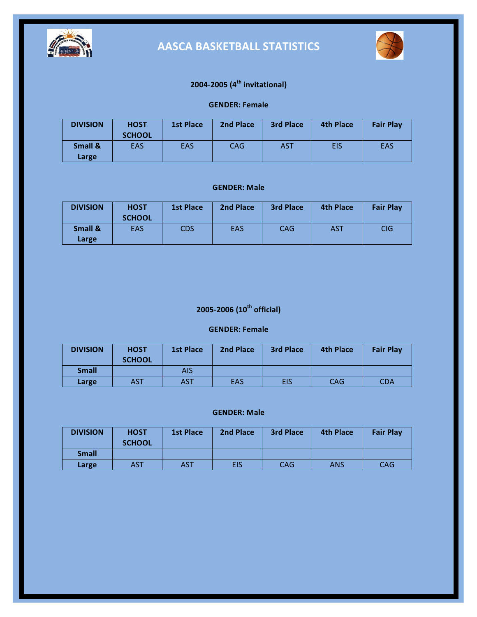



## **2004-2005 (4th invitational)**

### **GENDER: Female**

| <b>DIVISION</b>  | <b>HOST</b><br><b>SCHOOL</b> | <b>1st Place</b> | 2nd Place  | <b>3rd Place</b> | <b>4th Place</b> | <b>Fair Play</b> |
|------------------|------------------------------|------------------|------------|------------------|------------------|------------------|
| Small &<br>Large | <b>EAS</b>                   | <b>EAS</b>       | <b>CAG</b> | <b>AST</b>       | EIS              | EAS              |

#### **GENDER: Male**

| <b>DIVISION</b>  | <b>HOST</b><br><b>SCHOOL</b> | <b>1st Place</b> | 2nd Place | <b>3rd Place</b> | <b>4th Place</b> | <b>Fair Play</b> |
|------------------|------------------------------|------------------|-----------|------------------|------------------|------------------|
| Small &<br>Large | <b>EAS</b>                   | <b>CDS</b>       | EAS       | <b>CAG</b>       | <b>AST</b>       | <b>CIG</b>       |

## **2005-2006 (10th official)**

#### **GENDER: Female**

| <b>DIVISION</b> | <b>HOST</b><br><b>SCHOOL</b> | <b>1st Place</b> | 2nd Place | <b>3rd Place</b> | <b>4th Place</b> | <b>Fair Play</b> |
|-----------------|------------------------------|------------------|-----------|------------------|------------------|------------------|
| <b>Small</b>    |                              | AIS              |           |                  |                  |                  |
| Large           | AST                          | <b>AST</b>       | EAS       | EIS              | <b>CAG</b>       | CDA              |

| <b>DIVISION</b> | <b>HOST</b><br><b>SCHOOL</b> | <b>1st Place</b> | 2nd Place | <b>3rd Place</b> | <b>4th Place</b> | <b>Fair Play</b> |
|-----------------|------------------------------|------------------|-----------|------------------|------------------|------------------|
| <b>Small</b>    |                              |                  |           |                  |                  |                  |
| Large           | AST                          | <b>AST</b>       | EIS       | <b>CAG</b>       | ANS              | <b>CAG</b>       |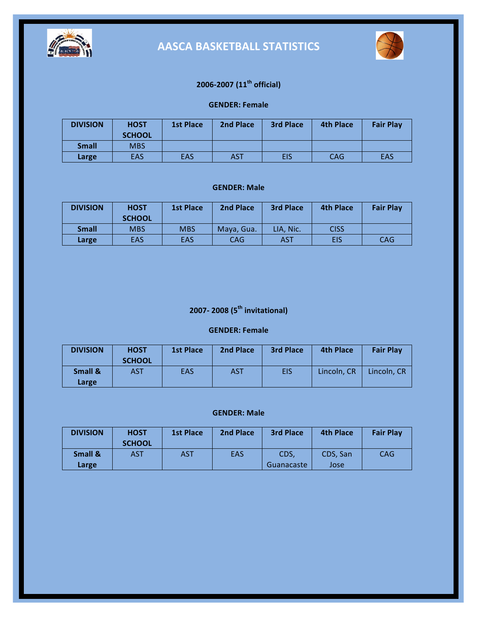



## **2006-2007 (11th official)**

#### **GENDER: Female**

| <b>DIVISION</b> | <b>HOST</b><br><b>SCHOOL</b> | <b>1st Place</b> | 2nd Place  | <b>3rd Place</b> | <b>4th Place</b> | <b>Fair Play</b> |
|-----------------|------------------------------|------------------|------------|------------------|------------------|------------------|
| <b>Small</b>    | <b>MBS</b>                   |                  |            |                  |                  |                  |
| Large           | <b>EAS</b>                   | <b>EAS</b>       | <b>AST</b> | <b>EIS</b>       | <b>CAG</b>       | <b>EAS</b>       |

#### **GENDER: Male**

| <b>DIVISION</b> | <b>HOST</b><br><b>SCHOOL</b> | <b>1st Place</b> | <b>2nd Place</b> | <b>3rd Place</b> | 4th Place   | <b>Fair Play</b> |
|-----------------|------------------------------|------------------|------------------|------------------|-------------|------------------|
| <b>Small</b>    | <b>MBS</b>                   | <b>MBS</b>       | Maya, Gua.       | LIA. Nic.        | <b>CISS</b> |                  |
| Large           | <b>EAS</b>                   | <b>EAS</b>       | <b>CAG</b>       | AST              | <b>EIS</b>  | <b>CAG</b>       |

# **2007- 2008 (5th invitational)**

### **GENDER: Female**

| <b>DIVISION</b>  | <b>HOST</b><br><b>SCHOOL</b> | <b>1st Place</b> | 2nd Place | <b>3rd Place</b> | <b>4th Place</b> | <b>Fair Play</b> |
|------------------|------------------------------|------------------|-----------|------------------|------------------|------------------|
| Small &<br>Large | AST                          | EAS              | AST       | <b>EIS</b>       | Lincoln. CR      | Lincoln. CR      |

| <b>DIVISION</b>    | <b>HOST</b><br><b>SCHOOL</b> | <b>1st Place</b> | <b>2nd Place</b> | <b>3rd Place</b> | <b>4th Place</b> | <b>Fair Play</b> |
|--------------------|------------------------------|------------------|------------------|------------------|------------------|------------------|
| <b>Small &amp;</b> | AST                          | AST              | EAS              | CDS,             | CDS. San         | <b>CAG</b>       |
| Large              |                              |                  |                  | Guanacaste       | Jose             |                  |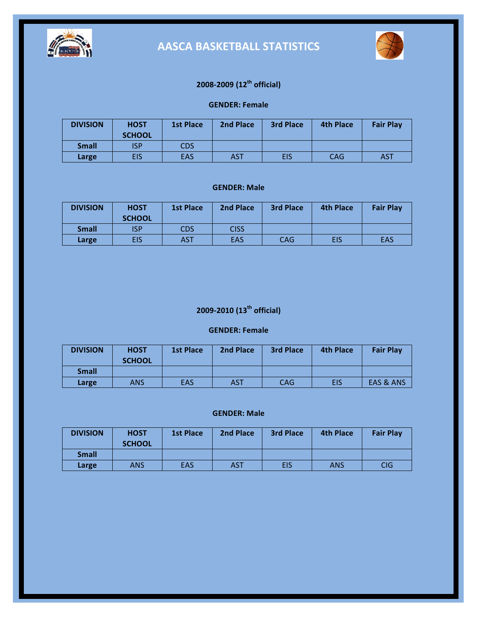



## **2008-2009 (12th official)**

#### **GENDER: Female**

| <b>DIVISION</b> | <b>HOST</b><br><b>SCHOOL</b> | <b>1st Place</b> | 2nd Place  | <b>3rd Place</b> | <b>4th Place</b> | <b>Fair Play</b> |
|-----------------|------------------------------|------------------|------------|------------------|------------------|------------------|
| <b>Small</b>    | ISP                          | <b>CDS</b>       |            |                  |                  |                  |
| Large           | EIS                          | <b>EAS</b>       | <b>AST</b> | <b>EIS</b>       | CAG              | AST              |

#### **GENDER: Male**

| <b>DIVISION</b> | <b>HOST</b><br><b>SCHOOL</b> | <b>1st Place</b> | 2nd Place   | <b>3rd Place</b> | 4th Place  | <b>Fair Play</b> |
|-----------------|------------------------------|------------------|-------------|------------------|------------|------------------|
| <b>Small</b>    | ISP                          | <b>CDS</b>       | <b>CISS</b> |                  |            |                  |
| Large           | <b>EIS</b>                   | <b>AST</b>       | <b>EAS</b>  | <b>CAG</b>       | <b>EIS</b> | EAS              |

## **2009-2010 (13th official)**

### **GENDER: Female**

| <b>DIVISION</b> | <b>HOST</b><br><b>SCHOOL</b> | <b>1st Place</b> | 2nd Place  | 3rd Place  | <b>4th Place</b> | <b>Fair Play</b>     |
|-----------------|------------------------------|------------------|------------|------------|------------------|----------------------|
| <b>Small</b>    |                              |                  |            |            |                  |                      |
| Large           | ANS                          | <b>EAS</b>       | <b>AST</b> | <b>CAG</b> | EIS              | <b>EAS &amp; ANS</b> |

| <b>DIVISION</b> | <b>HOST</b><br><b>SCHOOL</b> | <b>1st Place</b> | 2nd Place | <b>3rd Place</b> | <b>4th Place</b> | <b>Fair Play</b> |
|-----------------|------------------------------|------------------|-----------|------------------|------------------|------------------|
| <b>Small</b>    |                              |                  |           |                  |                  |                  |
| Large           | ANS                          | <b>EAS</b>       | AST       | <b>EIS</b>       | <b>ANS</b>       | <b>CIG</b>       |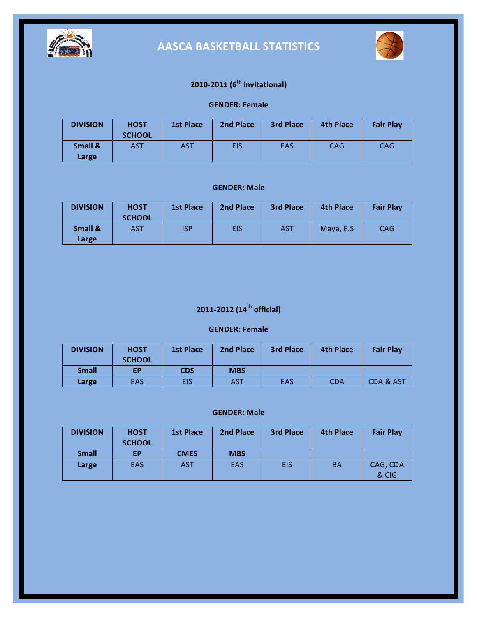



## **2010-2011 (6th invitational)**

### **GENDER: Female**

| <b>DIVISION</b>  | <b>HOST</b><br><b>SCHOOL</b> | <b>1st Place</b> | 2nd Place | <b>3rd Place</b> | <b>4th Place</b> | <b>Fair Play</b> |
|------------------|------------------------------|------------------|-----------|------------------|------------------|------------------|
| Small &<br>Large | AST                          | <b>AST</b>       | EIS       | EAS              | CAG              | <b>CAG</b>       |

#### **GENDER: Male**

| <b>DIVISION</b>  | <b>HOST</b><br><b>SCHOOL</b> | <b>1st Place</b> | 2nd Place  | <b>3rd Place</b> | <b>4th Place</b> | <b>Fair Play</b> |
|------------------|------------------------------|------------------|------------|------------------|------------------|------------------|
| Small &<br>Large | <b>AST</b>                   | ISP              | <b>EIS</b> | <b>AST</b>       | Maya, E.S.       | <b>CAG</b>       |

## **2011-2012 (14th official)**

### **GENDER: Female**

| <b>DIVISION</b> | <b>HOST</b><br><b>SCHOOL</b> | <b>1st Place</b> | 2nd Place  | 3rd Place  | 4th Place  | <b>Fair Play</b>     |
|-----------------|------------------------------|------------------|------------|------------|------------|----------------------|
| <b>Small</b>    | ЕP                           | <b>CDS</b>       | <b>MBS</b> |            |            |                      |
| Large           | EAS                          | EIS              | <b>AST</b> | <b>EAS</b> | <b>CDA</b> | <b>CDA &amp; AST</b> |

| <b>DIVISION</b> | <b>HOST</b><br><b>SCHOOL</b> | <b>1st Place</b> | 2nd Place  | <b>3rd Place</b> | 4th Place | <b>Fair Play</b>  |
|-----------------|------------------------------|------------------|------------|------------------|-----------|-------------------|
| <b>Small</b>    | EР                           | <b>CMES</b>      | <b>MBS</b> |                  |           |                   |
| Large           | <b>EAS</b>                   | <b>AST</b>       | <b>EAS</b> | <b>EIS</b>       | BA        | CAG, CDA<br>& CIG |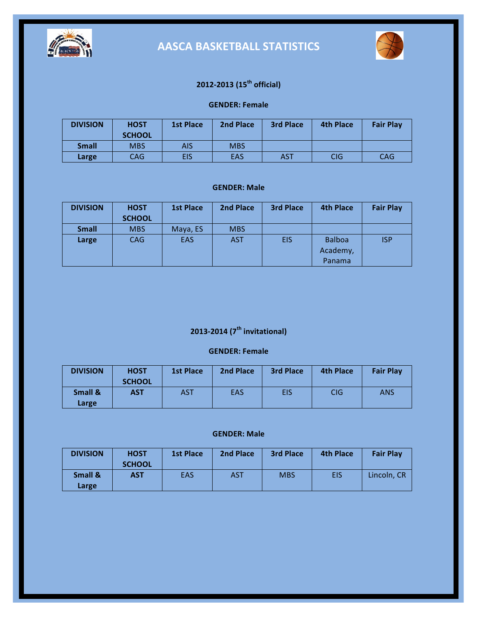



## **2012-2013 (15th official)**

#### **GENDER: Female**

| <b>DIVISION</b> | <b>HOST</b><br><b>SCHOOL</b> | <b>1st Place</b> | <b>2nd Place</b> | <b>3rd Place</b> | <b>4th Place</b> | <b>Fair Play</b> |
|-----------------|------------------------------|------------------|------------------|------------------|------------------|------------------|
| <b>Small</b>    | <b>MBS</b>                   | AIS              | <b>MBS</b>       |                  |                  |                  |
| Large           | CAG.                         | EIS              | <b>EAS</b>       | AST              | CIG              | <b>CAG</b>       |

#### **GENDER: Male**

| <b>DIVISION</b> | <b>HOST</b>   | <b>1st Place</b> | 2nd Place  | <b>3rd Place</b> | <b>4th Place</b>                    | <b>Fair Play</b> |
|-----------------|---------------|------------------|------------|------------------|-------------------------------------|------------------|
|                 | <b>SCHOOL</b> |                  |            |                  |                                     |                  |
| <b>Small</b>    | <b>MBS</b>    | Maya, ES         | <b>MBS</b> |                  |                                     |                  |
| Large           | <b>CAG</b>    | <b>EAS</b>       | <b>AST</b> | <b>EIS</b>       | <b>Balboa</b><br>Academy,<br>Panama | <b>ISP</b>       |

## **2013-2014 (7th invitational)**

#### **GENDER: Female**

| <b>DIVISION</b>  | <b>HOST</b><br><b>SCHOOL</b> | <b>1st Place</b> | 2nd Place | <b>3rd Place</b> | <b>4th Place</b> | <b>Fair Play</b> |
|------------------|------------------------------|------------------|-----------|------------------|------------------|------------------|
| Small &<br>Large | <b>AST</b>                   | <b>AST</b>       | EAS       | <b>EIS</b>       | <b>CIG</b>       | ANS              |

| <b>DIVISION</b>  | <b>HOST</b><br><b>SCHOOL</b> | <b>1st Place</b> | <b>2nd Place</b> | <b>3rd Place</b> | <b>4th Place</b> | <b>Fair Play</b> |
|------------------|------------------------------|------------------|------------------|------------------|------------------|------------------|
| Small &<br>Large | AST                          | <b>EAS</b>       | <b>AST</b>       | <b>MBS</b>       | EIS              | Lincoln. CR      |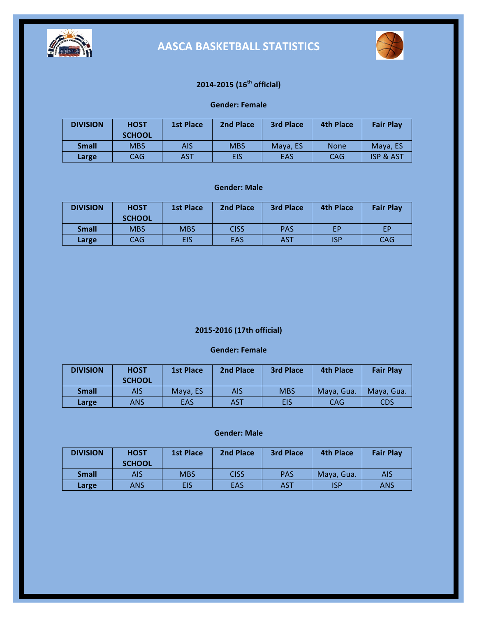



## **2014-2015 (16th official)**

#### **Gender: Female**

| <b>DIVISION</b> | <b>HOST</b><br><b>SCHOOL</b> | <b>1st Place</b> | 2nd Place  | <b>3rd Place</b> | <b>4th Place</b> | <b>Fair Play</b>     |
|-----------------|------------------------------|------------------|------------|------------------|------------------|----------------------|
| <b>Small</b>    | <b>MBS</b>                   | AIS              | <b>MBS</b> | Maya, ES         | <b>None</b>      | Mava. ES             |
| Large           | CAG.                         | AST              | EIS        | <b>EAS</b>       | CAG              | <b>ISP &amp; AST</b> |

#### **Gender: Male**

| <b>DIVISION</b> | <b>HOST</b><br><b>SCHOOL</b> | <b>1st Place</b> | <b>2nd Place</b> | <b>3rd Place</b> | <b>4th Place</b> | <b>Fair Play</b> |
|-----------------|------------------------------|------------------|------------------|------------------|------------------|------------------|
| <b>Small</b>    | <b>MBS</b>                   | <b>MBS</b>       | <b>CISS</b>      | <b>PAS</b>       | EP               | EР               |
| Large           | CAG                          | EIS              | EAS              | AST              | <b>ISP</b>       | <b>CAG</b>       |

### **2015-2016 (17th official)**

#### **Gender: Female**

| <b>DIVISION</b> | <b>HOST</b><br><b>SCHOOL</b> | 1st Place | 2nd Place | 3rd Place  | <b>4th Place</b> | <b>Fair Play</b> |
|-----------------|------------------------------|-----------|-----------|------------|------------------|------------------|
| <b>Small</b>    | AIS                          | Maya, ES  | AIS       | <b>MBS</b> | Maya, Gua.       | Maya, Gua.       |
| Large           | ANS                          | EAS       | AST       | EIS        | CAG              | CDS              |

#### **Gender: Male**

| <b>DIVISION</b> | <b>HOST</b><br><b>SCHOOL</b> | <b>1st Place</b> | 2nd Place   | <b>3rd Place</b> | <b>4th Place</b> | <b>Fair Play</b> |
|-----------------|------------------------------|------------------|-------------|------------------|------------------|------------------|
| <b>Small</b>    | <b>AIS</b>                   | <b>MBS</b>       | <b>CISS</b> | <b>PAS</b>       | Maya, Gua.       | <b>AIS</b>       |
| Large           | <b>ANS</b>                   | EIS              | EAS         | AST              | ISP              | ANS              |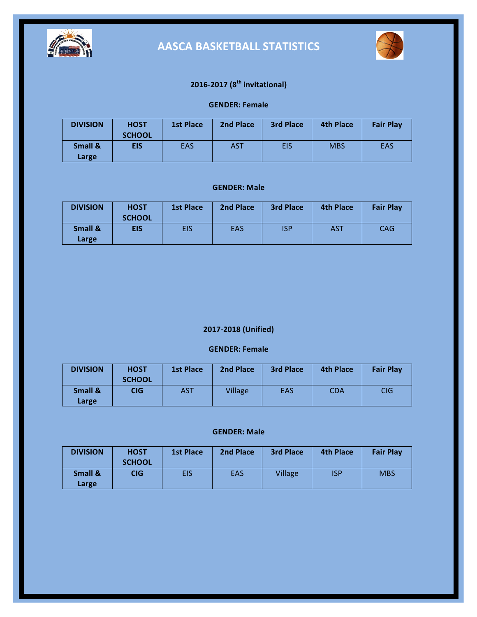



## **2016-2017 (8th invitational)**

### **GENDER: Female**

| <b>DIVISION</b>  | <b>HOST</b><br><b>SCHOOL</b> | <b>1st Place</b> | 2nd Place | <b>3rd Place</b> | <b>4th Place</b> | <b>Fair Play</b> |
|------------------|------------------------------|------------------|-----------|------------------|------------------|------------------|
| Small &<br>Large | <b>EIS</b>                   | <b>EAS</b>       | AST       | <b>EIS</b>       | <b>MBS</b>       | <b>EAS</b>       |

#### **GENDER: Male**

| <b>DIVISION</b>  | <b>HOST</b><br><b>SCHOOL</b> | <b>1st Place</b> | 2nd Place | <b>3rd Place</b> | <b>4th Place</b> | <b>Fair Play</b> |
|------------------|------------------------------|------------------|-----------|------------------|------------------|------------------|
| Small &<br>Large | <b>EIS</b>                   | EIS              | EAS       | <b>ISP</b>       | <b>AST</b>       | CAG              |

### **2017-2018 (Unified)**

### **GENDER: Female**

| <b>DIVISION</b>  | <b>HOST</b><br><b>SCHOOL</b> | <b>1st Place</b> | <b>2nd Place</b> | <b>3rd Place</b> | <b>4th Place</b> | <b>Fair Play</b> |
|------------------|------------------------------|------------------|------------------|------------------|------------------|------------------|
| Small &<br>Large | <b>CIG</b>                   | <b>AST</b>       | Village          | <b>EAS</b>       | <b>CDA</b>       | CIG              |

| <b>DIVISION</b>  | <b>HOST</b><br><b>SCHOOL</b> | <b>1st Place</b> | 2nd Place  | <b>3rd Place</b> | <b>4th Place</b> | <b>Fair Play</b> |
|------------------|------------------------------|------------------|------------|------------------|------------------|------------------|
| Small &<br>Large | CIG.                         | EIS              | <b>EAS</b> | Village          | <b>ISP</b>       | <b>MBS</b>       |